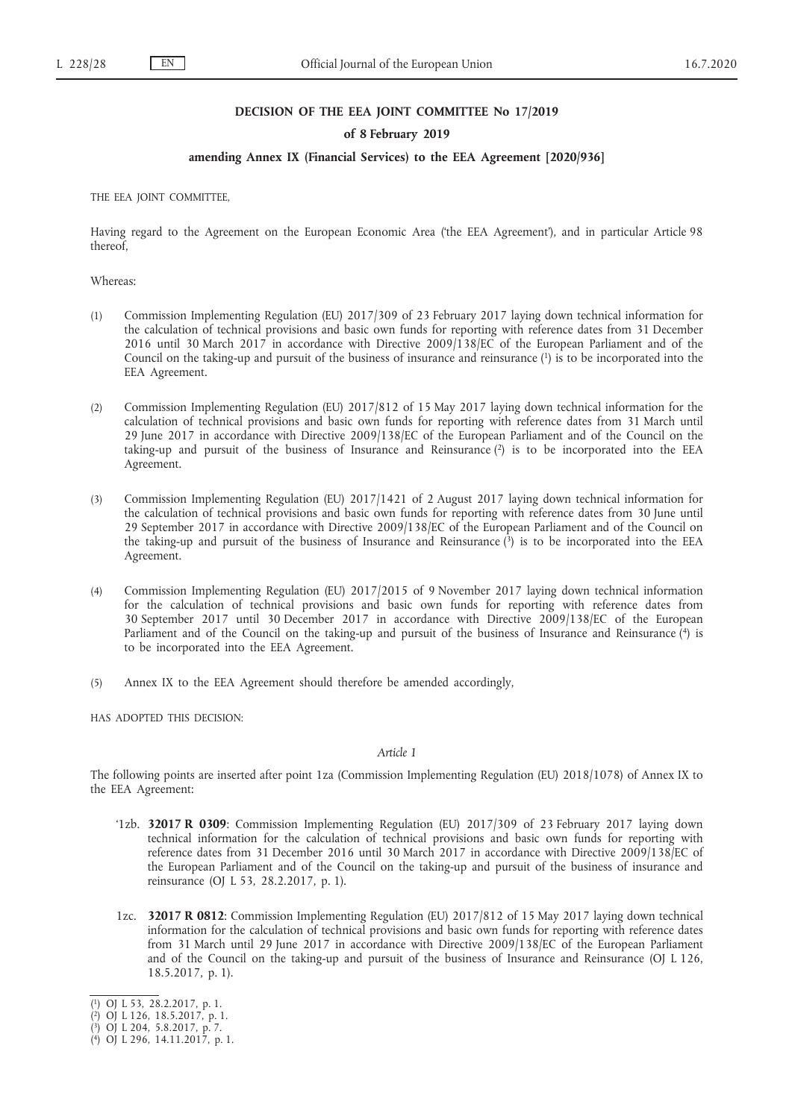## **DECISION OF THE EEA JOINT COMMITTEE No 17/2019**

## **of 8 February 2019**

# **amending Annex IX (Financial Services) to the EEA Agreement [2020/936]**

THE EEA JOINT COMMITTEE,

Having regard to the Agreement on the European Economic Area ('the EEA Agreement'), and in particular Article 98 thereof,

Whereas:

- (1) Commission Implementing Regulation (EU) 2017/309 of 23 February 2017 laying down technical information for the calculation of technical provisions and basic own funds for reporting with reference dates from 31 December 2016 until 30 March 2017 in accordance with Directive 2009/138/EC of the European Parliament and of the Council on the taking-up and pursuit of the business of insurance and reinsurance (1) is to be incorporated into the EEA Agreement.
- (2) Commission Implementing Regulation (EU) 2017/812 of 15 May 2017 laying down technical information for the calculation of technical provisions and basic own funds for reporting with reference dates from 31 March until 29 June 2017 in accordance with Directive 2009/138/EC of the European Parliament and of the Council on the taking-up and pursuit of the business of Insurance and Reinsurance  $(2)$  is to be incorporated into the EEA Agreement.
- (3) Commission Implementing Regulation (EU) 2017/1421 of 2 August 2017 laying down technical information for the calculation of technical provisions and basic own funds for reporting with reference dates from 30 June until 29 September 2017 in accordance with Directive 2009/138/EC of the European Parliament and of the Council on the taking-up and pursuit of the business of Insurance and Reinsurance (3) is to be incorporated into the EEA Agreement.
- (4) Commission Implementing Regulation (EU) 2017/2015 of 9 November 2017 laying down technical information for the calculation of technical provisions and basic own funds for reporting with reference dates from 30 September 2017 until 30 December 2017 in accordance with Directive 2009/138/EC of the European Parliament and of the Council on the taking-up and pursuit of the business of Insurance and Reinsurance (4) is to be incorporated into the EEA Agreement.
- (5) Annex IX to the EEA Agreement should therefore be amended accordingly,

HAS ADOPTED THIS DECISION:

#### *Article 1*

The following points are inserted after point 1za (Commission Implementing Regulation (EU) 2018/1078) of Annex IX to the EEA Agreement:

- '1zb. **32017 R 0309**: Commission Implementing Regulation (EU) 2017/309 of 23 February 2017 laying down technical information for the calculation of technical provisions and basic own funds for reporting with reference dates from 31 December 2016 until 30 March 2017 in accordance with Directive 2009/138/EC of the European Parliament and of the Council on the taking-up and pursuit of the business of insurance and reinsurance (OJ L 53, 28.2.2017, p. 1).
- 1zc. **32017 R 0812**: Commission Implementing Regulation (EU) 2017/812 of 15 May 2017 laying down technical information for the calculation of technical provisions and basic own funds for reporting with reference dates from 31 March until 29 June 2017 in accordance with Directive 2009/138/EC of the European Parliament and of the Council on the taking-up and pursuit of the business of Insurance and Reinsurance (OJ L 126, 18.5.2017, p. 1).

<sup>(</sup> 1) OJ L 53, 28.2.2017, p. 1.

<sup>(</sup> 2) OJ L 126, 18.5.2017, p. 1.

<sup>(</sup> 3) OJ L 204, 5.8.2017, p. 7.

<sup>(</sup> 4) OJ L 296, 14.11.2017, p. 1.